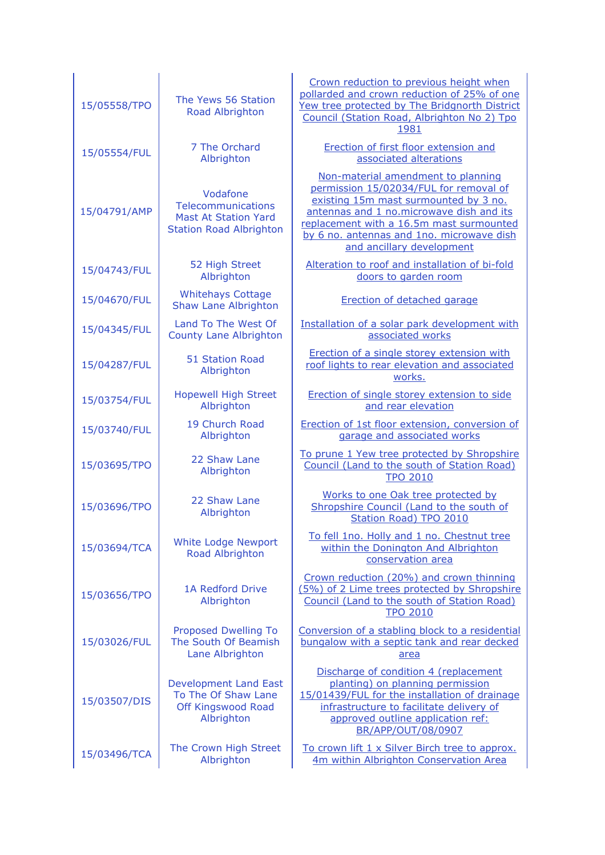| 15/05558/TPO | The Yews 56 Station<br>Road Albrighton                                                          | Crown reduction to previous height when<br>pollarded and crown reduction of 25% of one<br>Yew tree protected by The Bridgnorth District<br>Council (Station Road, Albrighton No 2) Tpo<br>1981                                                                                          |
|--------------|-------------------------------------------------------------------------------------------------|-----------------------------------------------------------------------------------------------------------------------------------------------------------------------------------------------------------------------------------------------------------------------------------------|
| 15/05554/FUL | 7 The Orchard<br>Albrighton                                                                     | Erection of first floor extension and<br>associated alterations                                                                                                                                                                                                                         |
| 15/04791/AMP | Vodafone<br>Telecommunications<br><b>Mast At Station Yard</b><br><b>Station Road Albrighton</b> | Non-material amendment to planning<br>permission 15/02034/FUL for removal of<br>existing 15m mast surmounted by 3 no.<br>antennas and 1 no.microwave dish and its<br>replacement with a 16.5m mast surmounted<br>by 6 no. antennas and 1no. microwave dish<br>and ancillary development |
| 15/04743/FUL | 52 High Street<br>Albrighton                                                                    | Alteration to roof and installation of bi-fold<br>doors to garden room                                                                                                                                                                                                                  |
| 15/04670/FUL | <b>Whitehays Cottage</b><br>Shaw Lane Albrighton                                                | <b>Erection of detached garage</b>                                                                                                                                                                                                                                                      |
| 15/04345/FUL | Land To The West Of<br><b>County Lane Albrighton</b>                                            | Installation of a solar park development with<br>associated works                                                                                                                                                                                                                       |
| 15/04287/FUL | 51 Station Road<br>Albrighton                                                                   | Erection of a single storey extension with<br>roof lights to rear elevation and associated<br>works.                                                                                                                                                                                    |
| 15/03754/FUL | <b>Hopewell High Street</b><br>Albrighton                                                       | Erection of single storey extension to side<br>and rear elevation                                                                                                                                                                                                                       |
| 15/03740/FUL | 19 Church Road<br>Albrighton                                                                    | Erection of 1st floor extension, conversion of<br>garage and associated works                                                                                                                                                                                                           |
| 15/03695/TPO | 22 Shaw Lane<br>Albrighton                                                                      | To prune 1 Yew tree protected by Shropshire<br>Council (Land to the south of Station Road)<br><b>TPO 2010</b>                                                                                                                                                                           |
| 15/03696/TPO | 22 Shaw Lane<br>Albrighton                                                                      | Works to one Oak tree protected by<br>Shropshire Council (Land to the south of<br>Station Road) TPO 2010                                                                                                                                                                                |
| 15/03694/TCA | <b>White Lodge Newport</b><br>Road Albrighton                                                   | To fell 1no. Holly and 1 no. Chestnut tree<br>within the Donington And Albrighton<br>conservation area                                                                                                                                                                                  |
| 15/03656/TPO | <b>1A Redford Drive</b><br>Albrighton                                                           | Crown reduction (20%) and crown thinning<br>(5%) of 2 Lime trees protected by Shropshire<br>Council (Land to the south of Station Road)<br><b>TPO 2010</b>                                                                                                                              |
| 15/03026/FUL | <b>Proposed Dwelling To</b><br>The South Of Beamish<br>Lane Albrighton                          | Conversion of a stabling block to a residential<br>bungalow with a septic tank and rear decked<br>area                                                                                                                                                                                  |
| 15/03507/DIS | <b>Development Land East</b><br>To The Of Shaw Lane<br>Off Kingswood Road<br>Albrighton         | Discharge of condition 4 (replacement<br>planting) on planning permission<br>15/01439/FUL for the installation of drainage<br>infrastructure to facilitate delivery of<br>approved outline application ref:<br>BR/APP/OUT/08/0907                                                       |
| 15/03496/TCA | The Crown High Street<br>Albrighton                                                             | To crown lift 1 x Silver Birch tree to approx.<br>4m within Albrighton Conservation Area                                                                                                                                                                                                |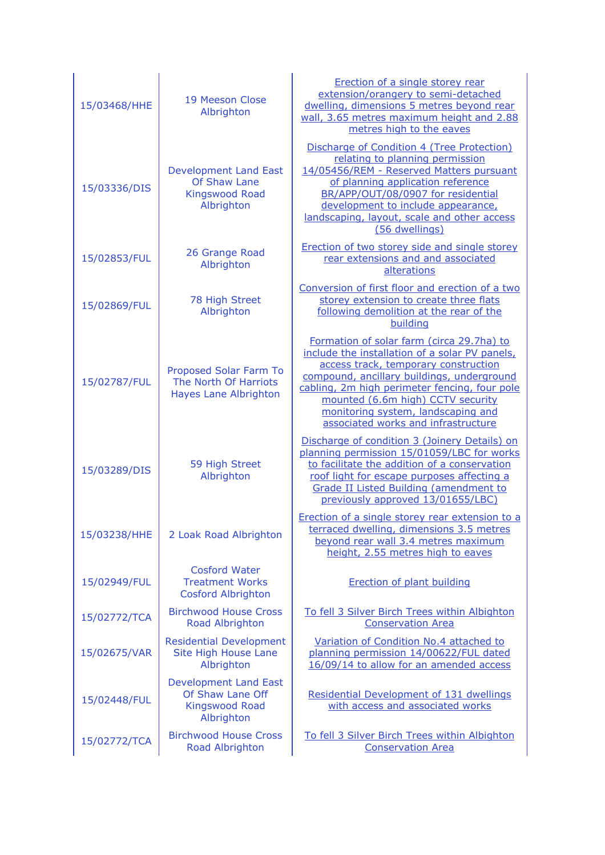| 15/03468/HHE | 19 Meeson Close<br>Albrighton                                                           | Erection of a single storey rear<br>extension/orangery to semi-detached<br>dwelling, dimensions 5 metres beyond rear<br>wall, 3.65 metres maximum height and 2.88<br>metres high to the eaves                                                                                                                                                        |
|--------------|-----------------------------------------------------------------------------------------|------------------------------------------------------------------------------------------------------------------------------------------------------------------------------------------------------------------------------------------------------------------------------------------------------------------------------------------------------|
| 15/03336/DIS | <b>Development Land East</b><br>Of Shaw Lane<br><b>Kingswood Road</b><br>Albrighton     | Discharge of Condition 4 (Tree Protection)<br>relating to planning permission<br>14/05456/REM - Reserved Matters pursuant<br>of planning application reference<br>BR/APP/OUT/08/0907 for residential<br>development to include appearance,<br>landscaping, layout, scale and other access<br>(56 dwellings)                                          |
| 15/02853/FUL | 26 Grange Road<br>Albrighton                                                            | Erection of two storey side and single storey<br>rear extensions and and associated<br>alterations                                                                                                                                                                                                                                                   |
| 15/02869/FUL | 78 High Street<br>Albrighton                                                            | Conversion of first floor and erection of a two<br>storey extension to create three flats<br>following demolition at the rear of the<br>building                                                                                                                                                                                                     |
| 15/02787/FUL | Proposed Solar Farm To<br>The North Of Harriots<br><b>Hayes Lane Albrighton</b>         | Formation of solar farm (circa 29.7ha) to<br>include the installation of a solar PV panels,<br>access track, temporary construction<br>compound, ancillary buildings, underground<br>cabling, 2m high perimeter fencing, four pole<br>mounted (6.6m high) CCTV security<br>monitoring system, landscaping and<br>associated works and infrastructure |
| 15/03289/DIS | 59 High Street<br>Albrighton                                                            | Discharge of condition 3 (Joinery Details) on<br>planning permission 15/01059/LBC for works<br>to facilitate the addition of a conservation<br>roof light for escape purposes affecting a<br><b>Grade II Listed Building (amendment to</b><br>previously approved 13/01655/LBC)                                                                      |
| 15/03238/HHE | 2 Loak Road Albrighton                                                                  | Erection of a single storey rear extension to a<br>terraced dwelling, dimensions 3.5 metres<br>beyond rear wall 3.4 metres maximum<br>height, 2.55 metres high to eaves                                                                                                                                                                              |
| 15/02949/FUL | <b>Cosford Water</b><br><b>Treatment Works</b><br><b>Cosford Albrighton</b>             | <b>Erection of plant building</b>                                                                                                                                                                                                                                                                                                                    |
| 15/02772/TCA | <b>Birchwood House Cross</b><br>Road Albrighton                                         | To fell 3 Silver Birch Trees within Albighton<br><b>Conservation Area</b>                                                                                                                                                                                                                                                                            |
| 15/02675/VAR | <b>Residential Development</b><br>Site High House Lane<br>Albrighton                    | Variation of Condition No.4 attached to<br>planning permission 14/00622/FUL dated<br>16/09/14 to allow for an amended access                                                                                                                                                                                                                         |
| 15/02448/FUL | <b>Development Land East</b><br>Of Shaw Lane Off<br><b>Kingswood Road</b><br>Albrighton | Residential Development of 131 dwellings<br>with access and associated works                                                                                                                                                                                                                                                                         |
| 15/02772/TCA | <b>Birchwood House Cross</b><br>Road Albrighton                                         | To fell 3 Silver Birch Trees within Albighton<br><b>Conservation Area</b>                                                                                                                                                                                                                                                                            |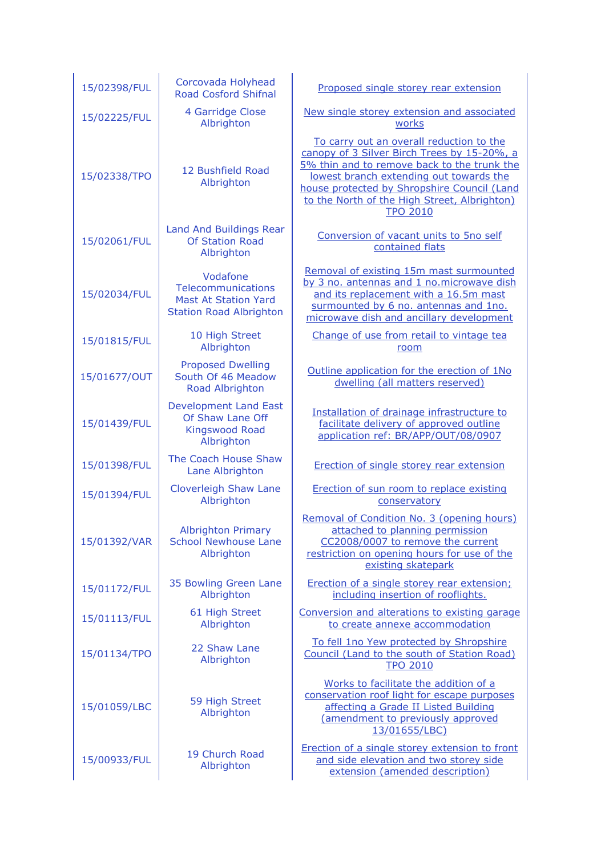| 15/02398/FUL | Corcovada Holyhead<br><b>Road Cosford Shifnal</b>                                               | Proposed single storey rear extension                                                                                                                                                                                                                                                               |
|--------------|-------------------------------------------------------------------------------------------------|-----------------------------------------------------------------------------------------------------------------------------------------------------------------------------------------------------------------------------------------------------------------------------------------------------|
| 15/02225/FUL | 4 Garridge Close<br>Albrighton                                                                  | New single storey extension and associated<br>works                                                                                                                                                                                                                                                 |
| 15/02338/TPO | 12 Bushfield Road<br>Albrighton                                                                 | To carry out an overall reduction to the<br>canopy of 3 Silver Birch Trees by 15-20%, a<br>5% thin and to remove back to the trunk the<br>lowest branch extending out towards the<br>house protected by Shropshire Council (Land<br>to the North of the High Street, Albrighton)<br><b>TPO 2010</b> |
| 15/02061/FUL | Land And Buildings Rear<br><b>Of Station Road</b><br>Albrighton                                 | Conversion of vacant units to 5no self<br>contained flats                                                                                                                                                                                                                                           |
| 15/02034/FUL | Vodafone<br>Telecommunications<br><b>Mast At Station Yard</b><br><b>Station Road Albrighton</b> | Removal of existing 15m mast surmounted<br>by 3 no. antennas and 1 no.microwave dish<br>and its replacement with a 16.5m mast<br>surmounted by 6 no. antennas and 1no.<br>microwave dish and ancillary development                                                                                  |
| 15/01815/FUL | 10 High Street<br>Albrighton                                                                    | Change of use from retail to vintage tea<br>room                                                                                                                                                                                                                                                    |
| 15/01677/OUT | <b>Proposed Dwelling</b><br>South Of 46 Meadow<br>Road Albrighton                               | Outline application for the erection of 1No<br>dwelling (all matters reserved)                                                                                                                                                                                                                      |
| 15/01439/FUL | <b>Development Land East</b><br>Of Shaw Lane Off<br><b>Kingswood Road</b><br>Albrighton         | Installation of drainage infrastructure to<br>facilitate delivery of approved outline<br>application ref: BR/APP/OUT/08/0907                                                                                                                                                                        |
| 15/01398/FUL | The Coach House Shaw<br>Lane Albrighton                                                         | Erection of single storey rear extension                                                                                                                                                                                                                                                            |
| 15/01394/FUL | <b>Cloverleigh Shaw Lane</b><br>Albrighton                                                      | Erection of sun room to replace existing<br>conservatory                                                                                                                                                                                                                                            |
| 15/01392/VAR | <b>Albrighton Primary</b><br><b>School Newhouse Lane</b><br>Albrighton                          | Removal of Condition No. 3 (opening hours)<br>attached to planning permission<br>CC2008/0007 to remove the current<br>restriction on opening hours for use of the<br>existing skatepark                                                                                                             |
| 15/01172/FUL | 35 Bowling Green Lane<br>Albrighton                                                             | Erection of a single storey rear extension;<br>including insertion of rooflights.                                                                                                                                                                                                                   |
| 15/01113/FUL | 61 High Street<br>Albrighton                                                                    | Conversion and alterations to existing garage<br>to create annexe accommodation                                                                                                                                                                                                                     |
| 15/01134/TPO | 22 Shaw Lane<br>Albrighton                                                                      | To fell 1no Yew protected by Shropshire<br>Council (Land to the south of Station Road)<br><b>TPO 2010</b>                                                                                                                                                                                           |
| 15/01059/LBC | 59 High Street<br>Albrighton                                                                    | Works to facilitate the addition of a<br>conservation roof light for escape purposes<br>affecting a Grade II Listed Building<br>(amendment to previously approved<br>13/01655/LBC)                                                                                                                  |
| 15/00933/FUL | 19 Church Road<br>Albrighton                                                                    | Erection of a single storey extension to front<br>and side elevation and two storey side<br>extension (amended description)                                                                                                                                                                         |